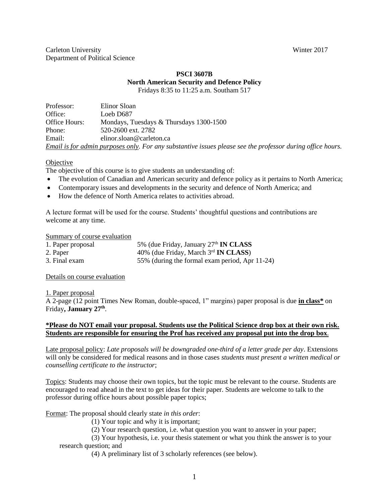#### **PSCI 3607B North American Security and Defence Policy** Fridays 8:35 to 11:25 a.m. Southam 517

| Professor:    | Elinor Sloan                                                                                               |
|---------------|------------------------------------------------------------------------------------------------------------|
| Office:       | Loeb D687                                                                                                  |
| Office Hours: | Mondays, Tuesdays & Thursdays 1300-1500                                                                    |
| Phone:        | 520-2600 ext. 2782                                                                                         |
| Email:        | elinor.sloan@carleton.ca                                                                                   |
|               | Email is for admin purposes only. For any substantive issues please see the professor during office hours. |

## **Objective**

The objective of this course is to give students an understanding of:

- The evolution of Canadian and American security and defence policy as it pertains to North America;
- Contemporary issues and developments in the security and defence of North America; and
- How the defence of North America relates to activities abroad.

A lecture format will be used for the course. Students' thoughtful questions and contributions are welcome at any time.

#### Summary of course evaluation

| 1. Paper proposal | 5% (due Friday, January 27 <sup>th</sup> IN CLASS |
|-------------------|---------------------------------------------------|
| 2. Paper          | 40% (due Friday, March 3rd <b>IN CLASS</b> )      |
| 3. Final exam     | 55% (during the formal exam period, Apr 11-24)    |

#### Details on course evaluation

1. Paper proposal

A 2-page (12 point Times New Roman, double-spaced, 1" margins) paper proposal is due **in class\*** on Friday**, January 27th** .

#### **\*Please do NOT email your proposal. Students use the Political Science drop box at their own risk. Students are responsible for ensuring the Prof has received any proposal put into the drop box**.

Late proposal policy: *Late proposals will be downgraded one-third of a letter grade per day*. Extensions will only be considered for medical reasons and in those cases *students must present a written medical or counselling certificate to the instructor*;

Topics: Students may choose their own topics, but the topic must be relevant to the course. Students are encouraged to read ahead in the text to get ideas for their paper. Students are welcome to talk to the professor during office hours about possible paper topics;

Format: The proposal should clearly state *in this order*:

(1) Your topic and why it is important;

(2) Your research question, i.e. what question you want to answer in your paper;

(3) Your hypothesis, i.e. your thesis statement or what you think the answer is to your research question; and

(4) A preliminary list of 3 scholarly references (see below).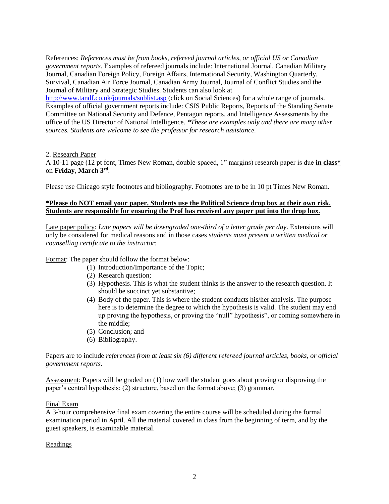References: *References must be from books, refereed journal articles, or official US or Canadian government reports*. Examples of refereed journals include: International Journal, Canadian Military Journal, Canadian Foreign Policy, Foreign Affairs, International Security, Washington Quarterly, Survival, Canadian Air Force Journal, Canadian Army Journal, Journal of Conflict Studies and the Journal of Military and Strategic Studies. Students can also look at

<http://www.tandf.co.uk/journals/sublist.asp> (click on Social Sciences) for a whole range of journals. Examples of official government reports include: CSIS Public Reports, Reports of the Standing Senate Committee on National Security and Defence, Pentagon reports, and Intelligence Assessments by the office of the US Director of National Intelligence. *\*These are examples only and there are many other sources. Students are welcome to see the professor for research assistance.*

#### 2. Research Paper

A 10-11 page (12 pt font, Times New Roman, double-spaced, 1" margins) research paper is due **in class\*** on **Friday, March 3rd** .

Please use Chicago style footnotes and bibliography. Footnotes are to be in 10 pt Times New Roman.

#### **\*Please do NOT email your paper. Students use the Political Science drop box at their own risk. Students are responsible for ensuring the Prof has received any paper put into the drop box**.

Late paper policy: *Late papers will be downgraded one-third of a letter grade per day*. Extensions will only be considered for medical reasons and in those cases *students must present a written medical or counselling certificate to the instructor*;

Format: The paper should follow the format below:

- (1) Introduction/Importance of the Topic;
- (2) Research question;
- (3) Hypothesis. This is what the student thinks is the answer to the research question. It should be succinct yet substantive;
- (4) Body of the paper. This is where the student conducts his/her analysis. The purpose here is to determine the degree to which the hypothesis is valid. The student may end up proving the hypothesis, or proving the "null" hypothesis", or coming somewhere in the middle;
- (5) Conclusion; and
- (6) Bibliography.

## Papers are to include *references from at least six (6) different refereed journal articles, books, or official government reports*.

Assessment: Papers will be graded on (1) how well the student goes about proving or disproving the paper's central hypothesis; (2) structure, based on the format above; (3) grammar.

#### Final Exam

A 3-hour comprehensive final exam covering the entire course will be scheduled during the formal examination period in April. All the material covered in class from the beginning of term, and by the guest speakers, is examinable material.

# **Readings**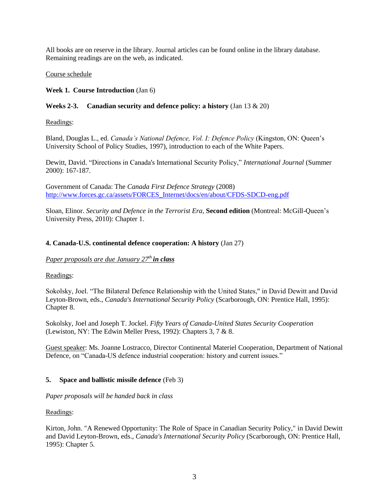All books are on reserve in the library. Journal articles can be found online in the library database. Remaining readings are on the web, as indicated.

## Course schedule

## **Week 1. Course Introduction** (Jan 6)

## **Weeks 2-3. Canadian security and defence policy: a history** (Jan 13 & 20)

Readings:

Bland, Douglas L., ed. *Canada's National Defence, Vol. I: Defence Policy* (Kingston, ON: Queen's University School of Policy Studies, 1997), introduction to each of the White Papers.

Dewitt, David. "Directions in Canada's International Security Policy," *International Journal* (Summer 2000): 167-187.

Government of Canada: The *Canada First Defence Strategy* (2008) [http://www.forces.gc.ca/assets/FORCES\\_Internet/docs/en/about/CFDS-SDCD-eng.pdf](http://www.forces.gc.ca/assets/FORCES_Internet/docs/en/about/CFDS-SDCD-eng.pdf)

Sloan, Elinor. *Security and Defence in the Terrorist Era*, **Second edition** (Montreal: McGill-Queen's University Press, 2010): Chapter 1.

## **4. Canada-U.S. continental defence cooperation: A history** (Jan 27)

## *Paper proposals are due January 27th in class*

Readings:

Sokolsky, Joel. "The Bilateral Defence Relationship with the United States," in David Dewitt and David Leyton-Brown, eds., *Canada's International Security Policy* (Scarborough, ON: Prentice Hall, 1995): Chapter 8.

Sokolsky, Joel and Joseph T. Jockel. *Fifty Years of Canada-United States Security Cooperation* (Lewiston, NY: The Edwin Meller Press, 1992): Chapters 3, 7 & 8.

Guest speaker: Ms. Joanne Lostracco, Director Continental Materiel Cooperation, Department of National Defence, on "Canada-US defence industrial cooperation: history and current issues."

# **5. Space and ballistic missile defence** (Feb 3)

*Paper proposals will be handed back in class*

Readings:

Kirton, John. "A Renewed Opportunity: The Role of Space in Canadian Security Policy," in David Dewitt and David Leyton-Brown, eds., *Canada's International Security Policy* (Scarborough, ON: Prentice Hall, 1995): Chapter 5.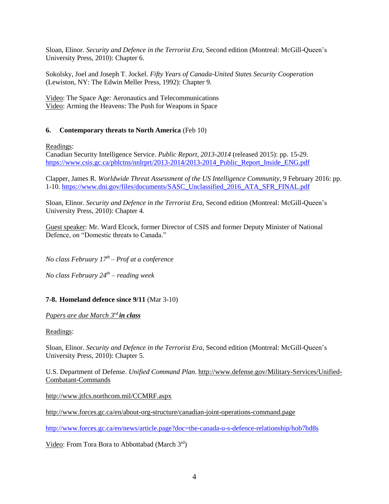Sloan, Elinor. *Security and Defence in the Terrorist Era*, Second edition (Montreal: McGill-Queen's University Press, 2010): Chapter 6.

Sokolsky, Joel and Joseph T. Jockel. *Fifty Years of Canada-United States Security Cooperation* (Lewiston, NY: The Edwin Meller Press, 1992): Chapter 9.

Video: The Space Age: Aeronautics and Telecommunications Video: Arming the Heavens: The Push for Weapons in Space

## **6. Contemporary threats to North America** (Feb 10)

Readings:

Canadian Security Intelligence Service. *Public Report, 2013-2014* (released 2015): pp. 15-29. [https://www.csis.gc.ca/pblctns/nnlrprt/2013-2014/2013-2014\\_Public\\_Report\\_Inside\\_ENG.pdf](https://www.csis.gc.ca/pblctns/nnlrprt/2013-2014/2013-2014_Public_Report_Inside_ENG.pdf)

Clapper, James R. *Worldwide Threat Assessment of the US Intelligence Community*, 9 February 2016: pp. 1-10. [https://www.dni.gov/files/documents/SASC\\_Unclassified\\_2016\\_ATA\\_SFR\\_FINAL.pdf](https://www.dni.gov/files/documents/SASC_Unclassified_2016_ATA_SFR_FINAL.pdf)

Sloan, Elinor. *Security and Defence in the Terrorist Era*, Second edition (Montreal: McGill-Queen's University Press, 2010): Chapter 4.

Guest speaker: Mr. Ward Elcock, former Director of CSIS and former Deputy Minister of National Defence, on "Domestic threats to Canada."

*No class February 17th – Prof at a conference*

*No class February 24th – reading week*

# **7-8. Homeland defence since 9/11** (Mar 3-10)

*Papers are due March 3 rd in class*

#### Readings:

Sloan, Elinor. *Security and Defence in the Terrorist Era*, Second edition (Montreal: McGill-Queen's University Press, 2010): Chapter 5.

U.S. Department of Defense. *Unified Command Plan*. [http://www.defense.gov/Military-Services/Unified-](http://www.defense.gov/Military-Services/Unified-Combatant-Commands)[Combatant-Commands](http://www.defense.gov/Military-Services/Unified-Combatant-Commands)

<http://www.jtfcs.northcom.mil/CCMRF.aspx>

<http://www.forces.gc.ca/en/about-org-structure/canadian-joint-operations-command.page>

<http://www.forces.gc.ca/en/news/article.page?doc=the-canada-u-s-defence-relationship/hob7hd8s>

Video: From Tora Bora to Abbottabad (March 3rd)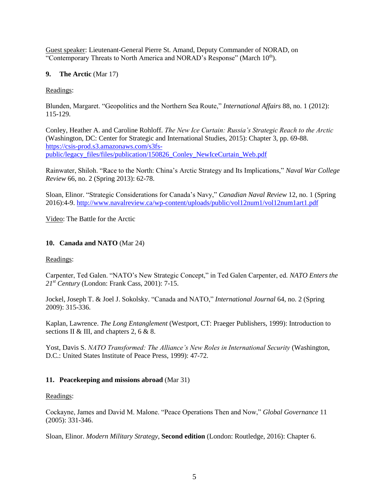Guest speaker: Lieutenant-General Pierre St. Amand, Deputy Commander of NORAD, on "Contemporary Threats to North America and NORAD's Response" (March 10th).

## **9. The Arctic** (Mar 17)

## Readings:

Blunden, Margaret. "Geopolitics and the Northern Sea Route," *International Affairs* 88, no. 1 (2012): 115-129.

Conley, Heather A. and Caroline Rohloff. *The New Ice Curtain: Russia's Strategic Reach to the Arctic* (Washington, DC: Center for Strategic and International Studies, 2015): Chapter 3, pp. 69-88. [https://csis-prod.s3.amazonaws.com/s3fs](https://csis-prod.s3.amazonaws.com/s3fs-public/legacy_files/files/publication/150826_Conley_NewIceCurtain_Web.pdf)[public/legacy\\_files/files/publication/150826\\_Conley\\_NewIceCurtain\\_Web.pdf](https://csis-prod.s3.amazonaws.com/s3fs-public/legacy_files/files/publication/150826_Conley_NewIceCurtain_Web.pdf)

Rainwater, Shiloh. "Race to the North: China's Arctic Strategy and Its Implications," *Naval War College Review* 66, no. 2 (Spring 2013): 62-78.

Sloan, Elinor. "Strategic Considerations for Canada's Navy," *Canadian Naval Review* 12, no. 1 (Spring 2016):4-9.<http://www.navalreview.ca/wp-content/uploads/public/vol12num1/vol12num1art1.pdf>

Video: The Battle for the Arctic

## **10. Canada and NATO** (Mar 24)

#### Readings:

Carpenter, Ted Galen. "NATO's New Strategic Concept," in Ted Galen Carpenter, ed. *NATO Enters the 21st Century* (London: Frank Cass, 2001): 7-15.

Jockel, Joseph T. & Joel J. Sokolsky. "Canada and NATO," *International Journal* 64, no. 2 (Spring 2009): 315-336.

Kaplan, Lawrence. *The Long Entanglement* (Westport, CT: Praeger Publishers, 1999): Introduction to sections II & III, and chapters 2, 6 & 8.

Yost, Davis S. *NATO Transformed: The Alliance's New Roles in International Security* (Washington, D.C.: United States Institute of Peace Press, 1999): 47-72.

# **11. Peacekeeping and missions abroad** (Mar 31)

#### Readings:

Cockayne, James and David M. Malone. "Peace Operations Then and Now," *Global Governance* 11 (2005): 331-346.

Sloan, Elinor. *Modern Military Strategy*, **Second edition** (London: Routledge, 2016): Chapter 6.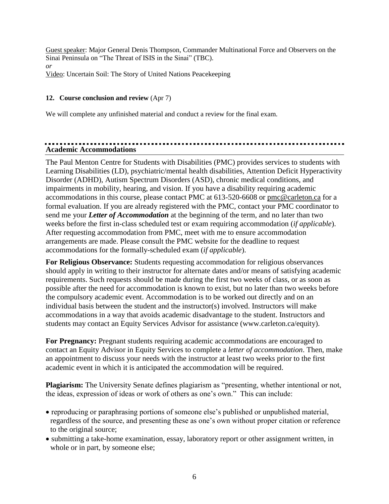Guest speaker: Major General Denis Thompson, Commander Multinational Force and Observers on the Sinai Peninsula on "The Threat of ISIS in the Sinai" (TBC). *or*  Video: Uncertain Soil: The Story of United Nations Peacekeeping

# **12. Course conclusion and review** (Apr 7)

We will complete any unfinished material and conduct a review for the final exam.

# **Academic Accommodations**

The Paul Menton Centre for Students with Disabilities (PMC) provides services to students with Learning Disabilities (LD), psychiatric/mental health disabilities, Attention Deficit Hyperactivity Disorder (ADHD), Autism Spectrum Disorders (ASD), chronic medical conditions, and impairments in mobility, hearing, and vision. If you have a disability requiring academic accommodations in this course, please contact PMC at 613-520-6608 or [pmc@carleton.ca](mailto:pmc@carleton.ca) for a formal evaluation. If you are already registered with the PMC, contact your PMC coordinator to send me your *Letter of Accommodation* at the beginning of the term, and no later than two weeks before the first in-class scheduled test or exam requiring accommodation (*if applicable*). After requesting accommodation from PMC, meet with me to ensure accommodation arrangements are made. Please consult the PMC website for the deadline to request accommodations for the formally-scheduled exam (*if applicable*).

**For Religious Observance:** Students requesting accommodation for religious observances should apply in writing to their instructor for alternate dates and/or means of satisfying academic requirements. Such requests should be made during the first two weeks of class, or as soon as possible after the need for accommodation is known to exist, but no later than two weeks before the compulsory academic event. Accommodation is to be worked out directly and on an individual basis between the student and the instructor(s) involved. Instructors will make accommodations in a way that avoids academic disadvantage to the student. Instructors and students may contact an Equity Services Advisor for assistance (www.carleton.ca/equity).

**For Pregnancy:** Pregnant students requiring academic accommodations are encouraged to contact an Equity Advisor in Equity Services to complete a *letter of accommodation*. Then, make an appointment to discuss your needs with the instructor at least two weeks prior to the first academic event in which it is anticipated the accommodation will be required.

**Plagiarism:** The University Senate defines plagiarism as "presenting, whether intentional or not, the ideas, expression of ideas or work of others as one's own." This can include:

- reproducing or paraphrasing portions of someone else's published or unpublished material, regardless of the source, and presenting these as one's own without proper citation or reference to the original source;
- submitting a take-home examination, essay, laboratory report or other assignment written, in whole or in part, by someone else;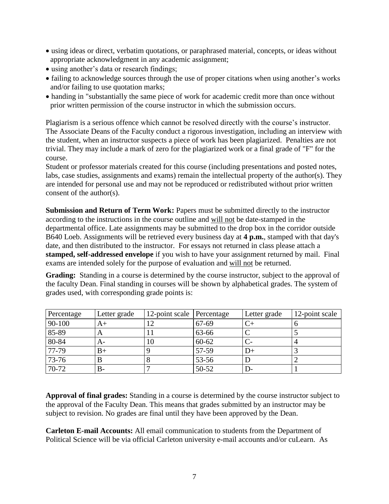- using ideas or direct, verbatim quotations, or paraphrased material, concepts, or ideas without appropriate acknowledgment in any academic assignment;
- using another's data or research findings;
- failing to acknowledge sources through the use of proper citations when using another's works and/or failing to use quotation marks;
- handing in "substantially the same piece of work for academic credit more than once without prior written permission of the course instructor in which the submission occurs.

Plagiarism is a serious offence which cannot be resolved directly with the course's instructor. The Associate Deans of the Faculty conduct a rigorous investigation, including an interview with the student, when an instructor suspects a piece of work has been plagiarized. Penalties are not trivial. They may include a mark of zero for the plagiarized work or a final grade of "F" for the course.

Student or professor materials created for this course (including presentations and posted notes, labs, case studies, assignments and exams) remain the intellectual property of the author(s). They are intended for personal use and may not be reproduced or redistributed without prior written consent of the author(s).

**Submission and Return of Term Work:** Papers must be submitted directly to the instructor according to the instructions in the course outline and will not be date-stamped in the departmental office. Late assignments may be submitted to the drop box in the corridor outside B640 Loeb. Assignments will be retrieved every business day at **4 p.m.**, stamped with that day's date, and then distributed to the instructor. For essays not returned in class please attach a **stamped, self-addressed envelope** if you wish to have your assignment returned by mail. Final exams are intended solely for the purpose of evaluation and will not be returned.

**Grading:** Standing in a course is determined by the course instructor, subject to the approval of the faculty Dean. Final standing in courses will be shown by alphabetical grades. The system of grades used, with corresponding grade points is:

| Percentage | Letter grade | 12-point scale Percentage |       | Letter grade | 12-point scale |
|------------|--------------|---------------------------|-------|--------------|----------------|
| 90-100     | A+           |                           | 67-69 |              |                |
| $85 - 89$  |              |                           | 63-66 |              |                |
| $80 - 84$  | A-           | 10                        | 60-62 |              |                |
| 77-79      | B+           |                           | 57-59 |              |                |
| 73-76      |              |                           | 53-56 |              |                |
| $70-72$    | В-           |                           | 50-52 |              |                |

**Approval of final grades:** Standing in a course is determined by the course instructor subject to the approval of the Faculty Dean. This means that grades submitted by an instructor may be subject to revision. No grades are final until they have been approved by the Dean.

**Carleton E-mail Accounts:** All email communication to students from the Department of Political Science will be via official Carleton university e-mail accounts and/or cuLearn. As